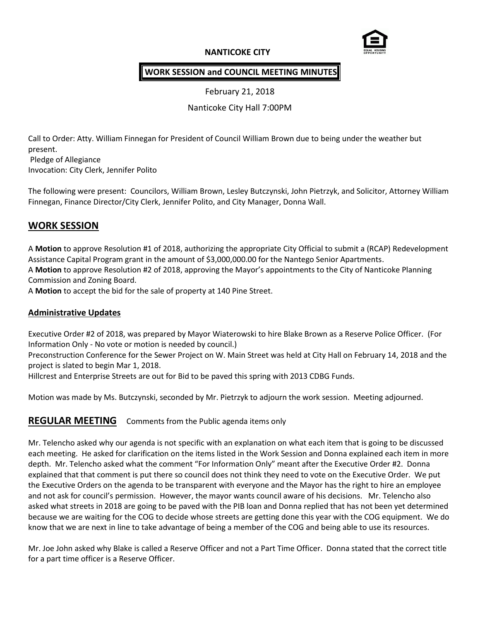# **NANTICOKE CITY**



# **WORK SESSION and COUNCIL MEETING MINUTES**

February 21, 2018

Nanticoke City Hall 7:00PM

Call to Order: Atty. William Finnegan for President of Council William Brown due to being under the weather but present.

Pledge of Allegiance Invocation: City Clerk, Jennifer Polito

The following were present: Councilors, William Brown, Lesley Butczynski, John Pietrzyk, and Solicitor, Attorney William Finnegan, Finance Director/City Clerk, Jennifer Polito, and City Manager, Donna Wall.

# **WORK SESSION**

A **Motion** to approve Resolution #1 of 2018, authorizing the appropriate City Official to submit a (RCAP) Redevelopment Assistance Capital Program grant in the amount of \$3,000,000.00 for the Nantego Senior Apartments.

A **Motion** to approve Resolution #2 of 2018, approving the Mayor's appointments to the City of Nanticoke Planning Commission and Zoning Board.

A **Motion** to accept the bid for the sale of property at 140 Pine Street.

### **Administrative Updates**

Executive Order #2 of 2018, was prepared by Mayor Wiaterowski to hire Blake Brown as a Reserve Police Officer. (For Information Only - No vote or motion is needed by council.)

Preconstruction Conference for the Sewer Project on W. Main Street was held at City Hall on February 14, 2018 and the project is slated to begin Mar 1, 2018.

Hillcrest and Enterprise Streets are out for Bid to be paved this spring with 2013 CDBG Funds.

Motion was made by Ms. Butczynski, seconded by Mr. Pietrzyk to adjourn the work session. Meeting adjourned.

**REGULAR MEETING** Comments from the Public agenda items only

Mr. Telencho asked why our agenda is not specific with an explanation on what each item that is going to be discussed each meeting. He asked for clarification on the items listed in the Work Session and Donna explained each item in more depth. Mr. Telencho asked what the comment "For Information Only" meant after the Executive Order #2. Donna explained that that comment is put there so council does not think they need to vote on the Executive Order. We put the Executive Orders on the agenda to be transparent with everyone and the Mayor has the right to hire an employee and not ask for council's permission. However, the mayor wants council aware of his decisions. Mr. Telencho also asked what streets in 2018 are going to be paved with the PIB loan and Donna replied that has not been yet determined because we are waiting for the COG to decide whose streets are getting done this year with the COG equipment. We do know that we are next in line to take advantage of being a member of the COG and being able to use its resources.

Mr. Joe John asked why Blake is called a Reserve Officer and not a Part Time Officer. Donna stated that the correct title for a part time officer is a Reserve Officer.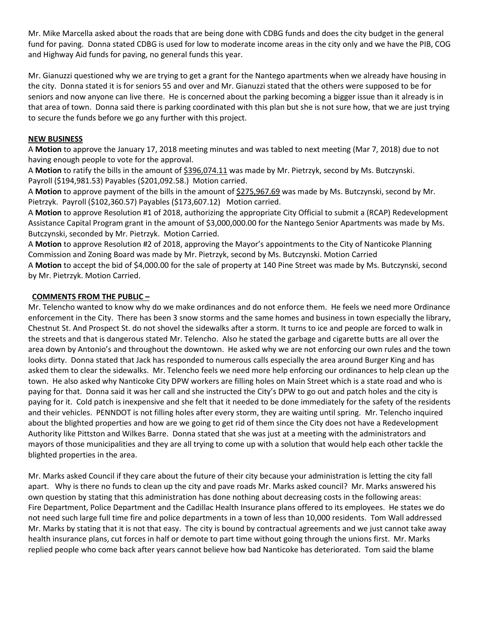Mr. Mike Marcella asked about the roads that are being done with CDBG funds and does the city budget in the general fund for paving. Donna stated CDBG is used for low to moderate income areas in the city only and we have the PIB, COG and Highway Aid funds for paving, no general funds this year.

Mr. Gianuzzi questioned why we are trying to get a grant for the Nantego apartments when we already have housing in the city. Donna stated it is for seniors 55 and over and Mr. Gianuzzi stated that the others were supposed to be for seniors and now anyone can live there. He is concerned about the parking becoming a bigger issue than it already is in that area of town. Donna said there is parking coordinated with this plan but she is not sure how, that we are just trying to secure the funds before we go any further with this project.

#### **NEW BUSINESS**

A **Motion** to approve the January 17, 2018 meeting minutes and was tabled to next meeting (Mar 7, 2018) due to not having enough people to vote for the approval.

A **Motion** to ratify the bills in the amount of \$396,074.11 was made by Mr. Pietrzyk, second by Ms. Butczynski. Payroll (\$194,981.53) Payables (\$201,092.58.) Motion carried.

A **Motion** to approve payment of the bills in the amount of \$275,967.69 was made by Ms. Butczynski, second by Mr. Pietrzyk. Payroll (\$102,360.57) Payables (\$173,607.12) Motion carried.

A **Motion** to approve Resolution #1 of 2018, authorizing the appropriate City Official to submit a (RCAP) Redevelopment Assistance Capital Program grant in the amount of \$3,000,000.00 for the Nantego Senior Apartments was made by Ms. Butczynski, seconded by Mr. Pietrzyk. Motion Carried.

A **Motion** to approve Resolution #2 of 2018, approving the Mayor's appointments to the City of Nanticoke Planning Commission and Zoning Board was made by Mr. Pietrzyk, second by Ms. Butczynski. Motion Carried

A **Motion** to accept the bid of \$4,000.00 for the sale of property at 140 Pine Street was made by Ms. Butczynski, second by Mr. Pietrzyk. Motion Carried.

#### **COMMENTS FROM THE PUBLIC –**

Mr. Telencho wanted to know why do we make ordinances and do not enforce them. He feels we need more Ordinance enforcement in the City. There has been 3 snow storms and the same homes and business in town especially the library, Chestnut St. And Prospect St. do not shovel the sidewalks after a storm. It turns to ice and people are forced to walk in the streets and that is dangerous stated Mr. Telencho. Also he stated the garbage and cigarette butts are all over the area down by Antonio's and throughout the downtown. He asked why we are not enforcing our own rules and the town looks dirty. Donna stated that Jack has responded to numerous calls especially the area around Burger King and has asked them to clear the sidewalks. Mr. Telencho feels we need more help enforcing our ordinances to help clean up the town. He also asked why Nanticoke City DPW workers are filling holes on Main Street which is a state road and who is paying for that. Donna said it was her call and she instructed the City's DPW to go out and patch holes and the city is paying for it. Cold patch is inexpensive and she felt that it needed to be done immediately for the safety of the residents and their vehicles. PENNDOT is not filling holes after every storm, they are waiting until spring. Mr. Telencho inquired about the blighted properties and how are we going to get rid of them since the City does not have a Redevelopment Authority like Pittston and Wilkes Barre. Donna stated that she was just at a meeting with the administrators and mayors of those municipalities and they are all trying to come up with a solution that would help each other tackle the blighted properties in the area.

Mr. Marks asked Council if they care about the future of their city because your administration is letting the city fall apart. Why is there no funds to clean up the city and pave roads Mr. Marks asked council? Mr. Marks answered his own question by stating that this administration has done nothing about decreasing costs in the following areas: Fire Department, Police Department and the Cadillac Health Insurance plans offered to its employees. He states we do not need such large full time fire and police departments in a town of less than 10,000 residents. Tom Wall addressed Mr. Marks by stating that it is not that easy. The city is bound by contractual agreements and we just cannot take away health insurance plans, cut forces in half or demote to part time without going through the unions first. Mr. Marks replied people who come back after years cannot believe how bad Nanticoke has deteriorated. Tom said the blame